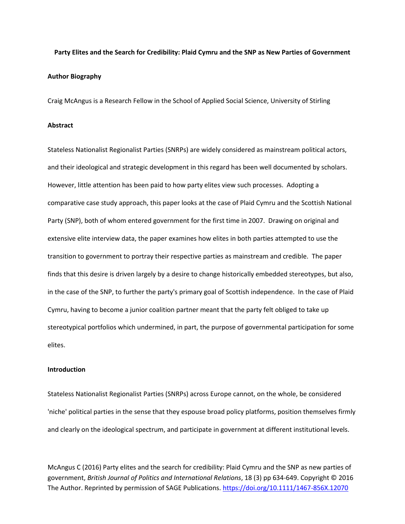# **Party Elites and the Search for Credibility: Plaid Cymru and the SNP as New Parties of Government Author Biography**

Craig McAngus is a Research Fellow in the School of Applied Social Science, University of Stirling

#### **Abstract**

Stateless Nationalist Regionalist Parties (SNRPs) are widely considered as mainstream political actors, and their ideological and strategic development in this regard has been well documented by scholars. However, little attention has been paid to how party elites view such processes. Adopting a comparative case study approach, this paper looks at the case of Plaid Cymru and the Scottish National Party (SNP), both of whom entered government for the first time in 2007. Drawing on original and extensive elite interview data, the paper examines how elites in both parties attempted to use the transition to government to portray their respective parties as mainstream and credible. The paper finds that this desire is driven largely by a desire to change historically embedded stereotypes, but also, in the case of the SNP, to further the party's primary goal of Scottish independence. In the case of Plaid Cymru, having to become a junior coalition partner meant that the party felt obliged to take up stereotypical portfolios which undermined, in part, the purpose of governmental participation for some elites.

## **Introduction**

Stateless Nationalist Regionalist Parties (SNRPs) across Europe cannot, on the whole, be considered 'niche' political parties in the sense that they espouse broad policy platforms, position themselves firmly and clearly on the ideological spectrum, and participate in government at different institutional levels.

McAngus C (2016) Party elites and the search for credibility: Plaid Cymru and the SNP as new parties of government, *British Journal of Politics and International Relations*, 18 (3) pp 634-649. Copyright © 2016 The Author. Reprinted by permission of SAGE Publications. <https://doi.org/10.1111/1467-856X.12070>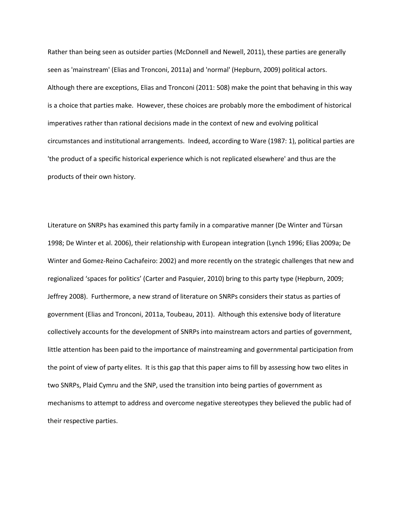Rather than being seen as outsider parties (McDonnell and Newell, 2011), these parties are generally seen as 'mainstream' (Elias and Tronconi, 2011a) and 'normal' (Hepburn, 2009) political actors. Although there are exceptions, Elias and Tronconi (2011: 508) make the point that behaving in this way is a choice that parties make. However, these choices are probably more the embodiment of historical imperatives rather than rational decisions made in the context of new and evolving political circumstances and institutional arrangements. Indeed, according to Ware (1987: 1), political parties are 'the product of a specific historical experience which is not replicated elsewhere' and thus are the products of their own history.

Literature on SNRPs has examined this party family in a comparative manner (De Winter and Türsan 1998; De Winter et al. 2006), their relationship with European integration (Lynch 1996; Elias 2009a; De Winter and Gomez-Reino Cachafeiro: 2002) and more recently on the strategic challenges that new and regionalized 'spaces for politics' (Carter and Pasquier, 2010) bring to this party type (Hepburn, 2009; Jeffrey 2008). Furthermore, a new strand of literature on SNRPs considers their status as parties of government (Elias and Tronconi, 2011a, Toubeau, 2011). Although this extensive body of literature collectively accounts for the development of SNRPs into mainstream actors and parties of government, little attention has been paid to the importance of mainstreaming and governmental participation from the point of view of party elites. It is this gap that this paper aims to fill by assessing how two elites in two SNRPs, Plaid Cymru and the SNP, used the transition into being parties of government as mechanisms to attempt to address and overcome negative stereotypes they believed the public had of their respective parties.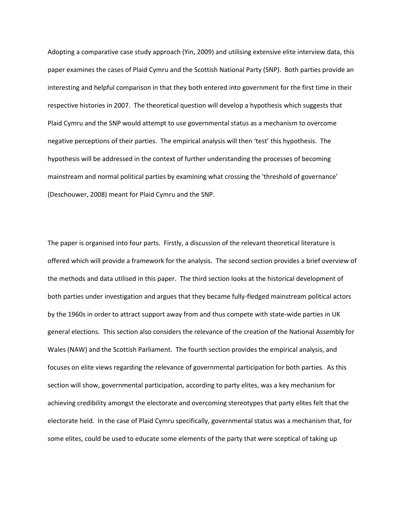Adopting a comparative case study approach (Yin, 2009) and utilising extensive elite interview data, this paper examines the cases of Plaid Cymru and the Scottish National Party (SNP). Both parties provide an interesting and helpful comparison in that they both entered into government for the first time in their respective histories in 2007. The theoretical question will develop a hypothesis which suggests that Plaid Cymru and the SNP would attempt to use governmental status as a mechanism to overcome negative perceptions of their parties. The empirical analysis will then 'test' this hypothesis. The hypothesis will be addressed in the context of further understanding the processes of becoming mainstream and normal political parties by examining what crossing the 'threshold of governance' (Deschouwer, 2008) meant for Plaid Cymru and the SNP.

The paper is organised into four parts. Firstly, a discussion of the relevant theoretical literature is offered which will provide a framework for the analysis. The second section provides a brief overview of the methods and data utilised in this paper. The third section looks at the historical development of both parties under investigation and argues that they became fully-fledged mainstream political actors by the 1960s in order to attract support away from and thus compete with state-wide parties in UK general elections. This section also considers the relevance of the creation of the National Assembly for Wales (NAW) and the Scottish Parliament. The fourth section provides the empirical analysis, and focuses on elite views regarding the relevance of governmental participation for both parties. As this section will show, governmental participation, according to party elites, was a key mechanism for achieving credibility amongst the electorate and overcoming stereotypes that party elites felt that the electorate held. In the case of Plaid Cymru specifically, governmental status was a mechanism that, for some elites, could be used to educate some elements of the party that were sceptical of taking up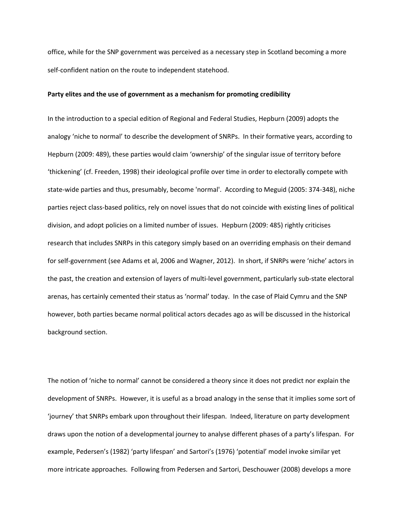office, while for the SNP government was perceived as a necessary step in Scotland becoming a more self-confident nation on the route to independent statehood.

## **Party elites and the use of government as a mechanism for promoting credibility**

In the introduction to a special edition of Regional and Federal Studies, Hepburn (2009) adopts the analogy 'niche to normal' to describe the development of SNRPs. In their formative years, according to Hepburn (2009: 489), these parties would claim 'ownership' of the singular issue of territory before 'thickening' (cf. Freeden, 1998) their ideological profile over time in order to electorally compete with state-wide parties and thus, presumably, become 'normal'. According to Meguid (2005: 374-348), niche parties reject class-based politics, rely on novel issues that do not coincide with existing lines of political division, and adopt policies on a limited number of issues. Hepburn (2009: 485) rightly criticises research that includes SNRPs in this category simply based on an overriding emphasis on their demand for self-government (see Adams et al, 2006 and Wagner, 2012). In short, if SNRPs were 'niche' actors in the past, the creation and extension of layers of multi-level government, particularly sub-state electoral arenas, has certainly cemented their status as 'normal' today. In the case of Plaid Cymru and the SNP however, both parties became normal political actors decades ago as will be discussed in the historical background section.

The notion of 'niche to normal' cannot be considered a theory since it does not predict nor explain the development of SNRPs. However, it is useful as a broad analogy in the sense that it implies some sort of 'journey' that SNRPs embark upon throughout their lifespan. Indeed, literature on party development draws upon the notion of a developmental journey to analyse different phases of a party's lifespan. For example, Pedersen's (1982) 'party lifespan' and Sartori's (1976) 'potential' model invoke similar yet more intricate approaches. Following from Pedersen and Sartori, Deschouwer (2008) develops a more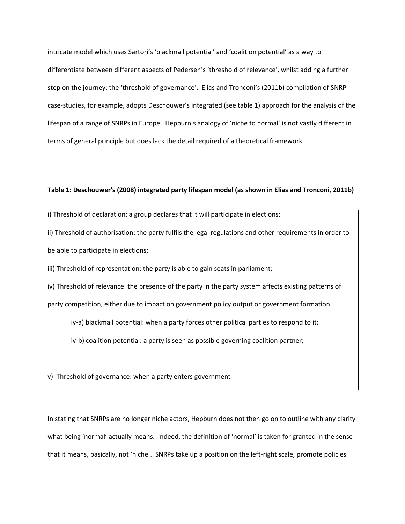intricate model which uses Sartori's 'blackmail potential' and 'coalition potential' as a way to differentiate between different aspects of Pedersen's 'threshold of relevance', whilst adding a further step on the journey: the 'threshold of governance'. Elias and Tronconi's (2011b) compilation of SNRP case-studies, for example, adopts Deschouwer's integrated (see table 1) approach for the analysis of the lifespan of a range of SNRPs in Europe. Hepburn's analogy of 'niche to normal' is not vastly different in terms of general principle but does lack the detail required of a theoretical framework.

# **Table 1: Deschouwer's (2008) integrated party lifespan model (as shown in Elias and Tronconi, 2011b)**

| i) Threshold of declaration: a group declares that it will participate in elections;                       |
|------------------------------------------------------------------------------------------------------------|
| ii) Threshold of authorisation: the party fulfils the legal regulations and other requirements in order to |
| be able to participate in elections;                                                                       |
| iii) Threshold of representation: the party is able to gain seats in parliament;                           |
| iv) Threshold of relevance: the presence of the party in the party system affects existing patterns of     |
| party competition, either due to impact on government policy output or government formation                |
| iv-a) blackmail potential: when a party forces other political parties to respond to it;                   |
| iv-b) coalition potential: a party is seen as possible governing coalition partner;                        |

v) Threshold of governance: when a party enters government

In stating that SNRPs are no longer niche actors, Hepburn does not then go on to outline with any clarity what being 'normal' actually means. Indeed, the definition of 'normal' is taken for granted in the sense that it means, basically, not 'niche'. SNRPs take up a position on the left-right scale, promote policies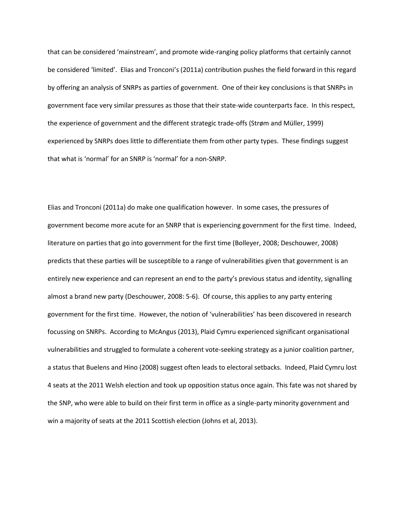that can be considered 'mainstream', and promote wide-ranging policy platforms that certainly cannot be considered 'limited'. Elias and Tronconi's (2011a) contribution pushes the field forward in this regard by offering an analysis of SNRPs as parties of government. One of their key conclusions is that SNRPs in government face very similar pressures as those that their state-wide counterparts face. In this respect, the experience of government and the different strategic trade-offs (Strøm and Müller, 1999) experienced by SNRPs does little to differentiate them from other party types. These findings suggest that what is 'normal' for an SNRP is 'normal' for a non-SNRP.

Elias and Tronconi (2011a) do make one qualification however. In some cases, the pressures of government become more acute for an SNRP that is experiencing government for the first time. Indeed, literature on parties that go into government for the first time (Bolleyer, 2008; Deschouwer, 2008) predicts that these parties will be susceptible to a range of vulnerabilities given that government is an entirely new experience and can represent an end to the party's previous status and identity, signalling almost a brand new party (Deschouwer, 2008: 5-6). Of course, this applies to any party entering government for the first time. However, the notion of 'vulnerabilities' has been discovered in research focussing on SNRPs. According to McAngus (2013), Plaid Cymru experienced significant organisational vulnerabilities and struggled to formulate a coherent vote-seeking strategy as a junior coalition partner, a status that Buelens and Hino (2008) suggest often leads to electoral setbacks. Indeed, Plaid Cymru lost 4 seats at the 2011 Welsh election and took up opposition status once again. This fate was not shared by the SNP, who were able to build on their first term in office as a single-party minority government and win a majority of seats at the 2011 Scottish election (Johns et al, 2013).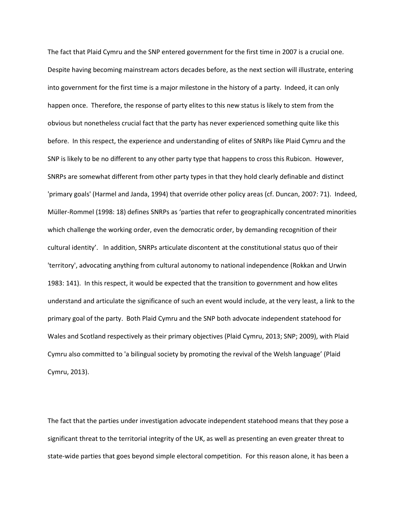The fact that Plaid Cymru and the SNP entered government for the first time in 2007 is a crucial one. Despite having becoming mainstream actors decades before, as the next section will illustrate, entering into government for the first time is a major milestone in the history of a party. Indeed, it can only happen once. Therefore, the response of party elites to this new status is likely to stem from the obvious but nonetheless crucial fact that the party has never experienced something quite like this before. In this respect, the experience and understanding of elites of SNRPs like Plaid Cymru and the SNP is likely to be no different to any other party type that happens to cross this Rubicon. However, SNRPs are somewhat different from other party types in that they hold clearly definable and distinct 'primary goals' (Harmel and Janda, 1994) that override other policy areas (cf. Duncan, 2007: 71). Indeed, Müller-Rommel (1998: 18) defines SNRPs as 'parties that refer to geographically concentrated minorities which challenge the working order, even the democratic order, by demanding recognition of their cultural identity'. In addition, SNRPs articulate discontent at the constitutional status quo of their 'territory', advocating anything from cultural autonomy to national independence (Rokkan and Urwin 1983: 141). In this respect, it would be expected that the transition to government and how elites understand and articulate the significance of such an event would include, at the very least, a link to the primary goal of the party. Both Plaid Cymru and the SNP both advocate independent statehood for Wales and Scotland respectively as their primary objectives (Plaid Cymru, 2013; SNP; 2009), with Plaid Cymru also committed to 'a bilingual society by promoting the revival of the Welsh language' (Plaid Cymru, 2013).

The fact that the parties under investigation advocate independent statehood means that they pose a significant threat to the territorial integrity of the UK, as well as presenting an even greater threat to state-wide parties that goes beyond simple electoral competition. For this reason alone, it has been a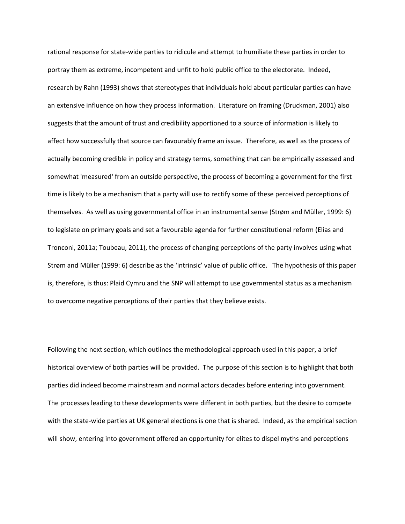rational response for state-wide parties to ridicule and attempt to humiliate these parties in order to portray them as extreme, incompetent and unfit to hold public office to the electorate. Indeed, research by Rahn (1993) shows that stereotypes that individuals hold about particular parties can have an extensive influence on how they process information. Literature on framing (Druckman, 2001) also suggests that the amount of trust and credibility apportioned to a source of information is likely to affect how successfully that source can favourably frame an issue. Therefore, as well as the process of actually becoming credible in policy and strategy terms, something that can be empirically assessed and somewhat 'measured' from an outside perspective, the process of becoming a government for the first time is likely to be a mechanism that a party will use to rectify some of these perceived perceptions of themselves. As well as using governmental office in an instrumental sense (Strøm and Müller, 1999: 6) to legislate on primary goals and set a favourable agenda for further constitutional reform (Elias and Tronconi, 2011a; Toubeau, 2011), the process of changing perceptions of the party involves using what Strøm and Müller (1999: 6) describe as the 'intrinsic' value of public office. The hypothesis of this paper is, therefore, is thus: Plaid Cymru and the SNP will attempt to use governmental status as a mechanism to overcome negative perceptions of their parties that they believe exists.

Following the next section, which outlines the methodological approach used in this paper, a brief historical overview of both parties will be provided. The purpose of this section is to highlight that both parties did indeed become mainstream and normal actors decades before entering into government. The processes leading to these developments were different in both parties, but the desire to compete with the state-wide parties at UK general elections is one that is shared. Indeed, as the empirical section will show, entering into government offered an opportunity for elites to dispel myths and perceptions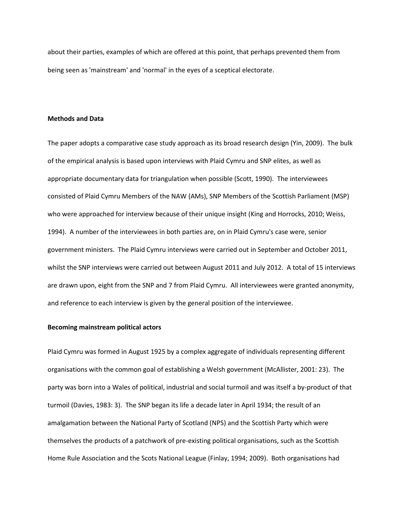about their parties, examples of which are offered at this point, that perhaps prevented them from being seen as 'mainstream' and 'normal' in the eyes of a sceptical electorate.

#### **Methods and Data**

The paper adopts a comparative case study approach as its broad research design (Yin, 2009). The bulk of the empirical analysis is based upon interviews with Plaid Cymru and SNP elites, as well as appropriate documentary data for triangulation when possible (Scott, 1990). The interviewees consisted of Plaid Cymru Members of the NAW (AMs), SNP Members of the Scottish Parliament (MSP) who were approached for interview because of their unique insight (King and Horrocks, 2010; Weiss, 1994). A number of the interviewees in both parties are, on in Plaid Cymru's case were, senior government ministers. The Plaid Cymru interviews were carried out in September and October 2011, whilst the SNP interviews were carried out between August 2011 and July 2012. A total of 15 interviews are drawn upon, eight from the SNP and 7 from Plaid Cymru. All interviewees were granted anonymity, and reference to each interview is given by the general position of the interviewee.

# **Becoming mainstream political actors**

Plaid Cymru was formed in August 1925 by a complex aggregate of individuals representing different organisations with the common goal of establishing a Welsh government (McAllister, 2001: 23). The party was born into a Wales of political, industrial and social turmoil and was itself a by-product of that turmoil (Davies, 1983: 3). The SNP began its life a decade later in April 1934; the result of an amalgamation between the National Party of Scotland (NPS) and the Scottish Party which were themselves the products of a patchwork of pre-existing political organisations, such as the Scottish Home Rule Association and the Scots National League (Finlay, 1994; 2009). Both organisations had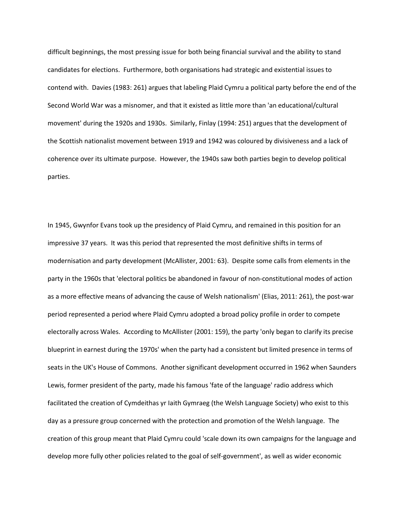difficult beginnings, the most pressing issue for both being financial survival and the ability to stand candidates for elections. Furthermore, both organisations had strategic and existential issues to contend with. Davies (1983: 261) argues that labeling Plaid Cymru a political party before the end of the Second World War was a misnomer, and that it existed as little more than 'an educational/cultural movement' during the 1920s and 1930s. Similarly, Finlay (1994: 251) argues that the development of the Scottish nationalist movement between 1919 and 1942 was coloured by divisiveness and a lack of coherence over its ultimate purpose. However, the 1940s saw both parties begin to develop political parties.

In 1945, Gwynfor Evans took up the presidency of Plaid Cymru, and remained in this position for an impressive 37 years. It was this period that represented the most definitive shifts in terms of modernisation and party development (McAllister, 2001: 63). Despite some calls from elements in the party in the 1960s that 'electoral politics be abandoned in favour of non-constitutional modes of action as a more effective means of advancing the cause of Welsh nationalism' (Elias, 2011: 261), the post-war period represented a period where Plaid Cymru adopted a broad policy profile in order to compete electorally across Wales. According to McAllister (2001: 159), the party 'only began to clarify its precise blueprint in earnest during the 1970s' when the party had a consistent but limited presence in terms of seats in the UK's House of Commons. Another significant development occurred in 1962 when Saunders Lewis, former president of the party, made his famous 'fate of the language' radio address which facilitated the creation of Cymdeithas yr Iaith Gymraeg (the Welsh Language Society) who exist to this day as a pressure group concerned with the protection and promotion of the Welsh language. The creation of this group meant that Plaid Cymru could 'scale down its own campaigns for the language and develop more fully other policies related to the goal of self-government', as well as wider economic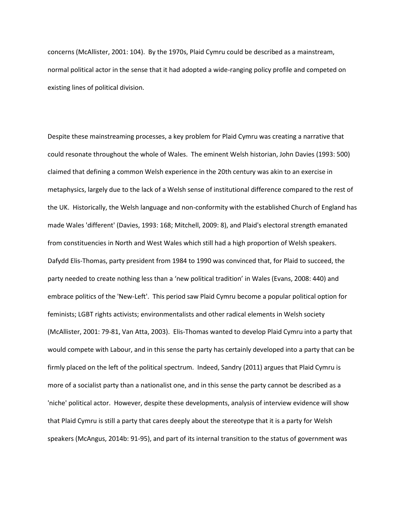concerns (McAllister, 2001: 104). By the 1970s, Plaid Cymru could be described as a mainstream, normal political actor in the sense that it had adopted a wide-ranging policy profile and competed on existing lines of political division.

Despite these mainstreaming processes, a key problem for Plaid Cymru was creating a narrative that could resonate throughout the whole of Wales. The eminent Welsh historian, John Davies (1993: 500) claimed that defining a common Welsh experience in the 20th century was akin to an exercise in metaphysics, largely due to the lack of a Welsh sense of institutional difference compared to the rest of the UK. Historically, the Welsh language and non-conformity with the established Church of England has made Wales 'different' (Davies, 1993: 168; Mitchell, 2009: 8), and Plaid's electoral strength emanated from constituencies in North and West Wales which still had a high proportion of Welsh speakers. Dafydd Elis-Thomas, party president from 1984 to 1990 was convinced that, for Plaid to succeed, the party needed to create nothing less than a 'new political tradition' in Wales (Evans, 2008: 440) and embrace politics of the 'New-Left'. This period saw Plaid Cymru become a popular political option for feminists; LGBT rights activists; environmentalists and other radical elements in Welsh society (McAllister, 2001: 79-81, Van Atta, 2003). Elis-Thomas wanted to develop Plaid Cymru into a party that would compete with Labour, and in this sense the party has certainly developed into a party that can be firmly placed on the left of the political spectrum. Indeed, Sandry (2011) argues that Plaid Cymru is more of a socialist party than a nationalist one, and in this sense the party cannot be described as a 'niche' political actor. However, despite these developments, analysis of interview evidence will show that Plaid Cymru is still a party that cares deeply about the stereotype that it is a party for Welsh speakers (McAngus, 2014b: 91-95), and part of its internal transition to the status of government was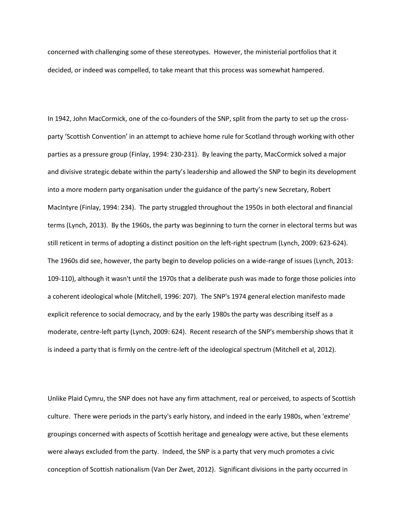concerned with challenging some of these stereotypes. However, the ministerial portfolios that it decided, or indeed was compelled, to take meant that this process was somewhat hampered.

In 1942, John MacCormick, one of the co-founders of the SNP, split from the party to set up the crossparty 'Scottish Convention' in an attempt to achieve home rule for Scotland through working with other parties as a pressure group (Finlay, 1994: 230-231). By leaving the party, MacCormick solved a major and divisive strategic debate within the party's leadership and allowed the SNP to begin its development into a more modern party organisation under the guidance of the party's new Secretary, Robert MacIntyre (Finlay, 1994: 234). The party struggled throughout the 1950s in both electoral and financial terms (Lynch, 2013). By the 1960s, the party was beginning to turn the corner in electoral terms but was still reticent in terms of adopting a distinct position on the left-right spectrum (Lynch, 2009: 623-624). The 1960s did see, however, the party begin to develop policies on a wide-range of issues (Lynch, 2013: 109-110), although it wasn't until the 1970s that a deliberate push was made to forge those policies into a coherent ideological whole (Mitchell, 1996: 207). The SNP's 1974 general election manifesto made explicit reference to social democracy, and by the early 1980s the party was describing itself as a moderate, centre-left party (Lynch, 2009: 624). Recent research of the SNP's membership shows that it is indeed a party that is firmly on the centre-left of the ideological spectrum (Mitchell et al, 2012).

Unlike Plaid Cymru, the SNP does not have any firm attachment, real or perceived, to aspects of Scottish culture. There were periods in the party's early history, and indeed in the early 1980s, when 'extreme' groupings concerned with aspects of Scottish heritage and genealogy were active, but these elements were always excluded from the party. Indeed, the SNP is a party that very much promotes a civic conception of Scottish nationalism (Van Der Zwet, 2012). Significant divisions in the party occurred in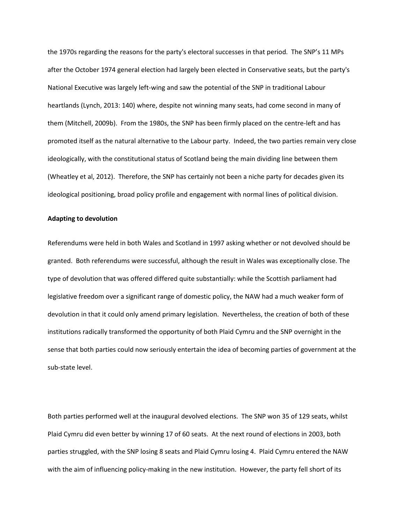the 1970s regarding the reasons for the party's electoral successes in that period. The SNP's 11 MPs after the October 1974 general election had largely been elected in Conservative seats, but the party's National Executive was largely left-wing and saw the potential of the SNP in traditional Labour heartlands (Lynch, 2013: 140) where, despite not winning many seats, had come second in many of them (Mitchell, 2009b). From the 1980s, the SNP has been firmly placed on the centre-left and has promoted itself as the natural alternative to the Labour party. Indeed, the two parties remain very close ideologically, with the constitutional status of Scotland being the main dividing line between them (Wheatley et al, 2012). Therefore, the SNP has certainly not been a niche party for decades given its ideological positioning, broad policy profile and engagement with normal lines of political division.

## **Adapting to devolution**

Referendums were held in both Wales and Scotland in 1997 asking whether or not devolved should be granted. Both referendums were successful, although the result in Wales was exceptionally close. The type of devolution that was offered differed quite substantially: while the Scottish parliament had legislative freedom over a significant range of domestic policy, the NAW had a much weaker form of devolution in that it could only amend primary legislation. Nevertheless, the creation of both of these institutions radically transformed the opportunity of both Plaid Cymru and the SNP overnight in the sense that both parties could now seriously entertain the idea of becoming parties of government at the sub-state level.

Both parties performed well at the inaugural devolved elections. The SNP won 35 of 129 seats, whilst Plaid Cymru did even better by winning 17 of 60 seats. At the next round of elections in 2003, both parties struggled, with the SNP losing 8 seats and Plaid Cymru losing 4. Plaid Cymru entered the NAW with the aim of influencing policy-making in the new institution. However, the party fell short of its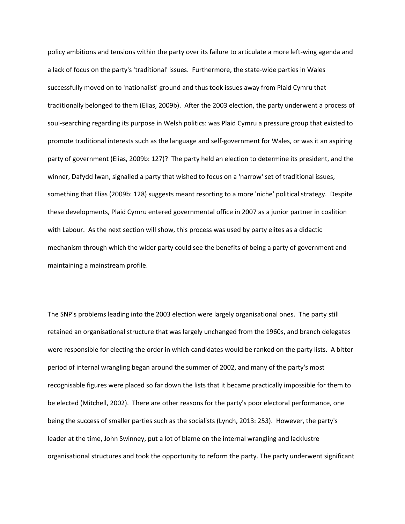policy ambitions and tensions within the party over its failure to articulate a more left-wing agenda and a lack of focus on the party's 'traditional' issues. Furthermore, the state-wide parties in Wales successfully moved on to 'nationalist' ground and thus took issues away from Plaid Cymru that traditionally belonged to them (Elias, 2009b). After the 2003 election, the party underwent a process of soul-searching regarding its purpose in Welsh politics: was Plaid Cymru a pressure group that existed to promote traditional interests such as the language and self-government for Wales, or was it an aspiring party of government (Elias, 2009b: 127)? The party held an election to determine its president, and the winner, Dafydd Iwan, signalled a party that wished to focus on a 'narrow' set of traditional issues, something that Elias (2009b: 128) suggests meant resorting to a more 'niche' political strategy. Despite these developments, Plaid Cymru entered governmental office in 2007 as a junior partner in coalition with Labour. As the next section will show, this process was used by party elites as a didactic mechanism through which the wider party could see the benefits of being a party of government and maintaining a mainstream profile.

The SNP's problems leading into the 2003 election were largely organisational ones. The party still retained an organisational structure that was largely unchanged from the 1960s, and branch delegates were responsible for electing the order in which candidates would be ranked on the party lists. A bitter period of internal wrangling began around the summer of 2002, and many of the party's most recognisable figures were placed so far down the lists that it became practically impossible for them to be elected (Mitchell, 2002). There are other reasons for the party's poor electoral performance, one being the success of smaller parties such as the socialists (Lynch, 2013: 253). However, the party's leader at the time, John Swinney, put a lot of blame on the internal wrangling and lacklustre organisational structures and took the opportunity to reform the party. The party underwent significant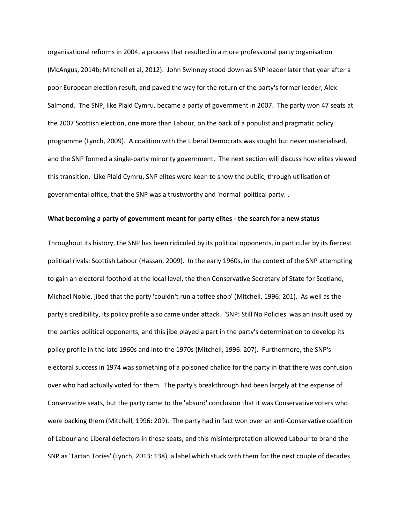organisational reforms in 2004, a process that resulted in a more professional party organisation (McAngus, 2014b; Mitchell et al, 2012). John Swinney stood down as SNP leader later that year after a poor European election result, and paved the way for the return of the party's former leader, Alex Salmond. The SNP, like Plaid Cymru, became a party of government in 2007. The party won 47 seats at the 2007 Scottish election, one more than Labour, on the back of a populist and pragmatic policy programme (Lynch, 2009). A coalition with the Liberal Democrats was sought but never materialised, and the SNP formed a single-party minority government. The next section will discuss how elites viewed this transition. Like Plaid Cymru, SNP elites were keen to show the public, through utilisation of governmental office, that the SNP was a trustworthy and 'normal' political party. .

# **What becoming a party of government meant for party elites - the search for a new status**

Throughout its history, the SNP has been ridiculed by its political opponents, in particular by its fiercest political rivals: Scottish Labour (Hassan, 2009). In the early 1960s, in the context of the SNP attempting to gain an electoral foothold at the local level, the then Conservative Secretary of State for Scotland, Michael Noble, jibed that the party 'couldn't run a toffee shop' (Mitchell, 1996: 201). As well as the party's credibility, its policy profile also came under attack. 'SNP: Still No Policies' was an insult used by the parties political opponents, and this jibe played a part in the party's determination to develop its policy profile in the late 1960s and into the 1970s (Mitchell, 1996: 207). Furthermore, the SNP's electoral success in 1974 was something of a poisoned chalice for the party in that there was confusion over who had actually voted for them. The party's breakthrough had been largely at the expense of Conservative seats, but the party came to the 'absurd' conclusion that it was Conservative voters who were backing them (Mitchell, 1996: 209). The party had in fact won over an anti-Conservative coalition of Labour and Liberal defectors in these seats, and this misinterpretation allowed Labour to brand the SNP as 'Tartan Tories' (Lynch, 2013: 138), a label which stuck with them for the next couple of decades.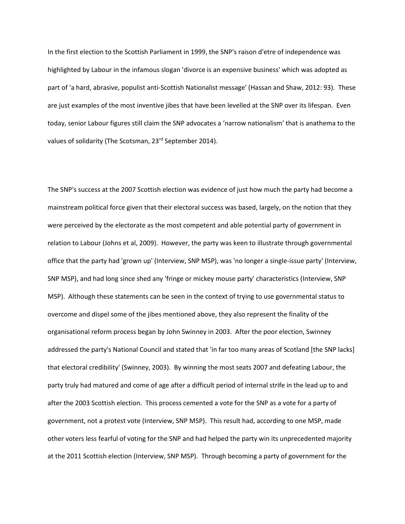In the first election to the Scottish Parliament in 1999, the SNP's raison d'etre of independence was highlighted by Labour in the infamous slogan 'divorce is an expensive business' which was adopted as part of 'a hard, abrasive, populist anti-Scottish Nationalist message' (Hassan and Shaw, 2012: 93). These are just examples of the most inventive jibes that have been levelled at the SNP over its lifespan. Even today, senior Labour figures still claim the SNP advocates a 'narrow nationalism' that is anathema to the values of solidarity (The Scotsman, 23<sup>rd</sup> September 2014).

The SNP's success at the 2007 Scottish election was evidence of just how much the party had become a mainstream political force given that their electoral success was based, largely, on the notion that they were perceived by the electorate as the most competent and able potential party of government in relation to Labour (Johns et al, 2009). However, the party was keen to illustrate through governmental office that the party had 'grown up' (Interview, SNP MSP), was 'no longer a single-issue party' (Interview, SNP MSP), and had long since shed any 'fringe or mickey mouse party' characteristics (Interview, SNP MSP). Although these statements can be seen in the context of trying to use governmental status to overcome and dispel some of the jibes mentioned above, they also represent the finality of the organisational reform process began by John Swinney in 2003. After the poor election, Swinney addressed the party's National Council and stated that 'in far too many areas of Scotland [the SNP lacks] that electoral credibility' (Swinney, 2003). By winning the most seats 2007 and defeating Labour, the party truly had matured and come of age after a difficult period of internal strife in the lead up to and after the 2003 Scottish election. This process cemented a vote for the SNP as a vote for a party of government, not a protest vote (Interview, SNP MSP). This result had, according to one MSP, made other voters less fearful of voting for the SNP and had helped the party win its unprecedented majority at the 2011 Scottish election (Interview, SNP MSP). Through becoming a party of government for the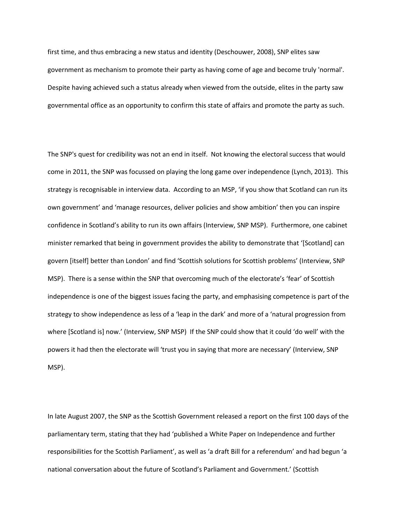first time, and thus embracing a new status and identity (Deschouwer, 2008), SNP elites saw government as mechanism to promote their party as having come of age and become truly 'normal'. Despite having achieved such a status already when viewed from the outside, elites in the party saw governmental office as an opportunity to confirm this state of affairs and promote the party as such.

The SNP's quest for credibility was not an end in itself. Not knowing the electoral success that would come in 2011, the SNP was focussed on playing the long game over independence (Lynch, 2013). This strategy is recognisable in interview data. According to an MSP, 'if you show that Scotland can run its own government' and 'manage resources, deliver policies and show ambition' then you can inspire confidence in Scotland's ability to run its own affairs (Interview, SNP MSP). Furthermore, one cabinet minister remarked that being in government provides the ability to demonstrate that '[Scotland] can govern [itself] better than London' and find 'Scottish solutions for Scottish problems' (Interview, SNP MSP). There is a sense within the SNP that overcoming much of the electorate's 'fear' of Scottish independence is one of the biggest issues facing the party, and emphasising competence is part of the strategy to show independence as less of a 'leap in the dark' and more of a 'natural progression from where [Scotland is] now.' (Interview, SNP MSP) If the SNP could show that it could 'do well' with the powers it had then the electorate will 'trust you in saying that more are necessary' (Interview, SNP MSP).

In late August 2007, the SNP as the Scottish Government released a report on the first 100 days of the parliamentary term, stating that they had 'published a White Paper on Independence and further responsibilities for the Scottish Parliament', as well as 'a draft Bill for a referendum' and had begun 'a national conversation about the future of Scotland's Parliament and Government.' (Scottish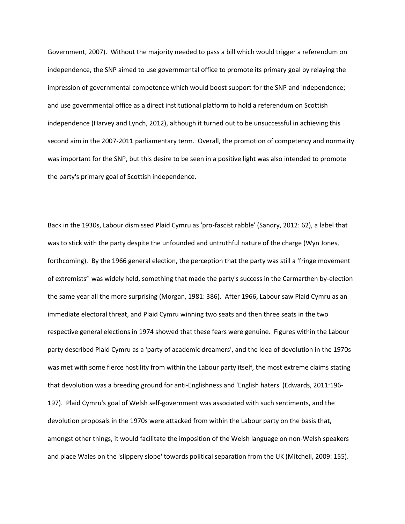Government, 2007). Without the majority needed to pass a bill which would trigger a referendum on independence, the SNP aimed to use governmental office to promote its primary goal by relaying the impression of governmental competence which would boost support for the SNP and independence; and use governmental office as a direct institutional platform to hold a referendum on Scottish independence (Harvey and Lynch, 2012), although it turned out to be unsuccessful in achieving this second aim in the 2007-2011 parliamentary term. Overall, the promotion of competency and normality was important for the SNP, but this desire to be seen in a positive light was also intended to promote the party's primary goal of Scottish independence.

Back in the 1930s, Labour dismissed Plaid Cymru as 'pro-fascist rabble' (Sandry, 2012: 62), a label that was to stick with the party despite the unfounded and untruthful nature of the charge (Wyn Jones, forthcoming). By the 1966 general election, the perception that the party was still a 'fringe movement of extremists'' was widely held, something that made the party's success in the Carmarthen by-election the same year all the more surprising (Morgan, 1981: 386). After 1966, Labour saw Plaid Cymru as an immediate electoral threat, and Plaid Cymru winning two seats and then three seats in the two respective general elections in 1974 showed that these fears were genuine. Figures within the Labour party described Plaid Cymru as a 'party of academic dreamers', and the idea of devolution in the 1970s was met with some fierce hostility from within the Labour party itself, the most extreme claims stating that devolution was a breeding ground for anti-Englishness and 'English haters' (Edwards, 2011:196- 197). Plaid Cymru's goal of Welsh self-government was associated with such sentiments, and the devolution proposals in the 1970s were attacked from within the Labour party on the basis that, amongst other things, it would facilitate the imposition of the Welsh language on non-Welsh speakers and place Wales on the 'slippery slope' towards political separation from the UK (Mitchell, 2009: 155).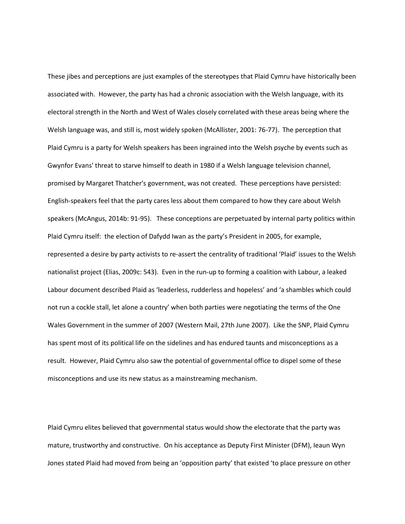These jibes and perceptions are just examples of the stereotypes that Plaid Cymru have historically been associated with. However, the party has had a chronic association with the Welsh language, with its electoral strength in the North and West of Wales closely correlated with these areas being where the Welsh language was, and still is, most widely spoken (McAllister, 2001: 76-77). The perception that Plaid Cymru is a party for Welsh speakers has been ingrained into the Welsh psyche by events such as Gwynfor Evans' threat to starve himself to death in 1980 if a Welsh language television channel, promised by Margaret Thatcher's government, was not created. These perceptions have persisted: English-speakers feel that the party cares less about them compared to how they care about Welsh speakers (McAngus, 2014b: 91-95). These conceptions are perpetuated by internal party politics within Plaid Cymru itself: the election of Dafydd Iwan as the party's President in 2005, for example, represented a desire by party activists to re-assert the centrality of traditional 'Plaid' issues to the Welsh nationalist project (Elias, 2009c: 543). Even in the run-up to forming a coalition with Labour, a leaked Labour document described Plaid as 'leaderless, rudderless and hopeless' and 'a shambles which could not run a cockle stall, let alone a country' when both parties were negotiating the terms of the One Wales Government in the summer of 2007 (Western Mail, 27th June 2007). Like the SNP, Plaid Cymru has spent most of its political life on the sidelines and has endured taunts and misconceptions as a result. However, Plaid Cymru also saw the potential of governmental office to dispel some of these misconceptions and use its new status as a mainstreaming mechanism.

Plaid Cymru elites believed that governmental status would show the electorate that the party was mature, trustworthy and constructive. On his acceptance as Deputy First Minister (DFM), Ieaun Wyn Jones stated Plaid had moved from being an 'opposition party' that existed 'to place pressure on other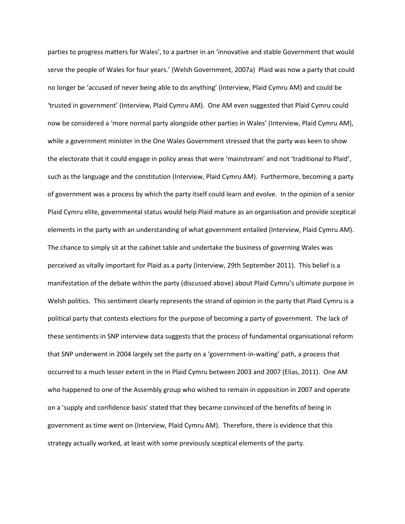parties to progress matters for Wales', to a partner in an 'innovative and stable Government that would serve the people of Wales for four years.' (Welsh Government, 2007a) Plaid was now a party that could no longer be 'accused of never being able to do anything' (Interview, Plaid Cymru AM) and could be 'trusted in government' (Interview, Plaid Cymru AM). One AM even suggested that Plaid Cymru could now be considered a 'more normal party alongside other parties in Wales' (Interview, Plaid Cymru AM), while a government minister in the One Wales Government stressed that the party was keen to show the electorate that it could engage in policy areas that were 'mainstream' and not 'traditional to Plaid', such as the language and the constitution (Interview, Plaid Cymru AM). Furthermore, becoming a party of government was a process by which the party itself could learn and evolve. In the opinion of a senior Plaid Cymru elite, governmental status would help Plaid mature as an organisation and provide sceptical elements in the party with an understanding of what government entailed (Interview, Plaid Cymru AM). The chance to simply sit at the cabinet table and undertake the business of governing Wales was perceived as vitally important for Plaid as a party (Interview, 29th September 2011). This belief is a manifestation of the debate within the party (discussed above) about Plaid Cymru's ultimate purpose in Welsh politics. This sentiment clearly represents the strand of opinion in the party that Plaid Cymru is a political party that contests elections for the purpose of becoming a party of government. The lack of these sentiments in SNP interview data suggests that the process of fundamental organisational reform that SNP underwent in 2004 largely set the party on a 'government-in-waiting' path, a process that occurred to a much lesser extent in the in Plaid Cymru between 2003 and 2007 (Elias, 2011). One AM who happened to one of the Assembly group who wished to remain in opposition in 2007 and operate on a 'supply and confidence basis' stated that they became convinced of the benefits of being in government as time went on (Interview, Plaid Cymru AM). Therefore, there is evidence that this strategy actually worked, at least with some previously sceptical elements of the party.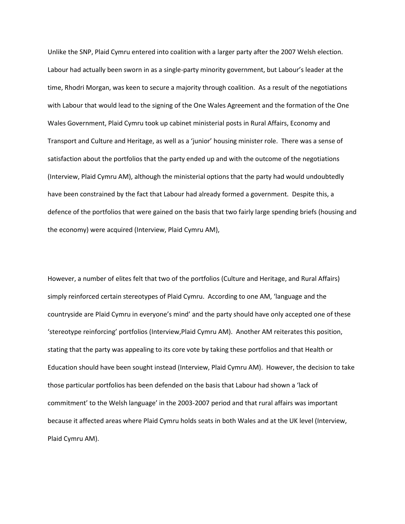Unlike the SNP, Plaid Cymru entered into coalition with a larger party after the 2007 Welsh election. Labour had actually been sworn in as a single-party minority government, but Labour's leader at the time, Rhodri Morgan, was keen to secure a majority through coalition. As a result of the negotiations with Labour that would lead to the signing of the One Wales Agreement and the formation of the One Wales Government, Plaid Cymru took up cabinet ministerial posts in Rural Affairs, Economy and Transport and Culture and Heritage, as well as a 'junior' housing minister role. There was a sense of satisfaction about the portfolios that the party ended up and with the outcome of the negotiations (Interview, Plaid Cymru AM), although the ministerial options that the party had would undoubtedly have been constrained by the fact that Labour had already formed a government. Despite this, a defence of the portfolios that were gained on the basis that two fairly large spending briefs (housing and the economy) were acquired (Interview, Plaid Cymru AM),

However, a number of elites felt that two of the portfolios (Culture and Heritage, and Rural Affairs) simply reinforced certain stereotypes of Plaid Cymru. According to one AM, 'language and the countryside are Plaid Cymru in everyone's mind' and the party should have only accepted one of these 'stereotype reinforcing' portfolios (Interview,Plaid Cymru AM). Another AM reiterates this position, stating that the party was appealing to its core vote by taking these portfolios and that Health or Education should have been sought instead (Interview, Plaid Cymru AM). However, the decision to take those particular portfolios has been defended on the basis that Labour had shown a 'lack of commitment' to the Welsh language' in the 2003-2007 period and that rural affairs was important because it affected areas where Plaid Cymru holds seats in both Wales and at the UK level (Interview, Plaid Cymru AM).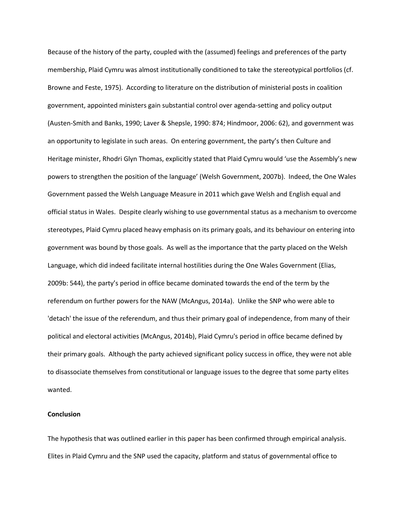Because of the history of the party, coupled with the (assumed) feelings and preferences of the party membership, Plaid Cymru was almost institutionally conditioned to take the stereotypical portfolios (cf. Browne and Feste, 1975). According to literature on the distribution of ministerial posts in coalition government, appointed ministers gain substantial control over agenda-setting and policy output (Austen-Smith and Banks, 1990; Laver & Shepsle, 1990: 874; Hindmoor, 2006: 62), and government was an opportunity to legislate in such areas. On entering government, the party's then Culture and Heritage minister, Rhodri Glyn Thomas, explicitly stated that Plaid Cymru would 'use the Assembly's new powers to strengthen the position of the language' (Welsh Government, 2007b). Indeed, the One Wales Government passed the Welsh Language Measure in 2011 which gave Welsh and English equal and official status in Wales. Despite clearly wishing to use governmental status as a mechanism to overcome stereotypes, Plaid Cymru placed heavy emphasis on its primary goals, and its behaviour on entering into government was bound by those goals. As well as the importance that the party placed on the Welsh Language, which did indeed facilitate internal hostilities during the One Wales Government (Elias, 2009b: 544), the party's period in office became dominated towards the end of the term by the referendum on further powers for the NAW (McAngus, 2014a). Unlike the SNP who were able to 'detach' the issue of the referendum, and thus their primary goal of independence, from many of their political and electoral activities (McAngus, 2014b), Plaid Cymru's period in office became defined by their primary goals. Although the party achieved significant policy success in office, they were not able to disassociate themselves from constitutional or language issues to the degree that some party elites wanted.

# **Conclusion**

The hypothesis that was outlined earlier in this paper has been confirmed through empirical analysis. Elites in Plaid Cymru and the SNP used the capacity, platform and status of governmental office to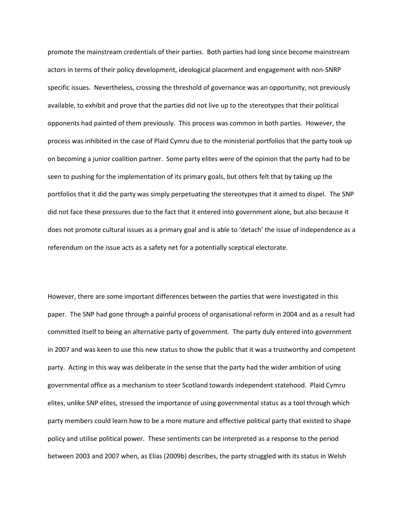promote the mainstream credentials of their parties. Both parties had long since become mainstream actors in terms of their policy development, ideological placement and engagement with non-SNRP specific issues. Nevertheless, crossing the threshold of governance was an opportunity, not previously available, to exhibit and prove that the parties did not live up to the stereotypes that their political opponents had painted of them previously. This process was common in both parties. However, the process was inhibited in the case of Plaid Cymru due to the ministerial portfolios that the party took up on becoming a junior coalition partner. Some party elites were of the opinion that the party had to be seen to pushing for the implementation of its primary goals, but others felt that by taking up the portfolios that it did the party was simply perpetuating the stereotypes that it aimed to dispel. The SNP did not face these pressures due to the fact that it entered into government alone, but also because it does not promote cultural issues as a primary goal and is able to 'detach' the issue of independence as a referendum on the issue acts as a safety net for a potentially sceptical electorate.

However, there are some important differences between the parties that were investigated in this paper. The SNP had gone through a painful process of organisational reform in 2004 and as a result had committed itself to being an alternative party of government. The party duly entered into government in 2007 and was keen to use this new status to show the public that it was a trustworthy and competent party. Acting in this way was deliberate in the sense that the party had the wider ambition of using governmental office as a mechanism to steer Scotland towards independent statehood. Plaid Cymru elites, unlike SNP elites, stressed the importance of using governmental status as a tool through which party members could learn how to be a more mature and effective political party that existed to shape policy and utilise political power. These sentiments can be interpreted as a response to the period between 2003 and 2007 when, as Elias (2009b) describes, the party struggled with its status in Welsh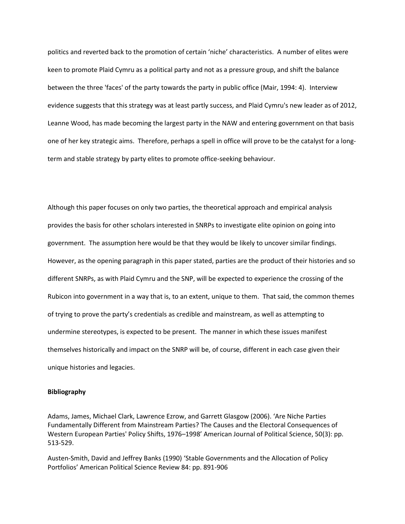politics and reverted back to the promotion of certain 'niche' characteristics. A number of elites were keen to promote Plaid Cymru as a political party and not as a pressure group, and shift the balance between the three 'faces' of the party towards the party in public office (Mair, 1994: 4). Interview evidence suggests that this strategy was at least partly success, and Plaid Cymru's new leader as of 2012, Leanne Wood, has made becoming the largest party in the NAW and entering government on that basis one of her key strategic aims. Therefore, perhaps a spell in office will prove to be the catalyst for a longterm and stable strategy by party elites to promote office-seeking behaviour.

Although this paper focuses on only two parties, the theoretical approach and empirical analysis provides the basis for other scholars interested in SNRPs to investigate elite opinion on going into government. The assumption here would be that they would be likely to uncover similar findings. However, as the opening paragraph in this paper stated, parties are the product of their histories and so different SNRPs, as with Plaid Cymru and the SNP, will be expected to experience the crossing of the Rubicon into government in a way that is, to an extent, unique to them. That said, the common themes of trying to prove the party's credentials as credible and mainstream, as well as attempting to undermine stereotypes, is expected to be present. The manner in which these issues manifest themselves historically and impact on the SNRP will be, of course, different in each case given their unique histories and legacies.

#### **Bibliography**

Adams, James, Michael Clark, Lawrence Ezrow, and Garrett Glasgow (2006). 'Are Niche Parties Fundamentally Different from Mainstream Parties? The Causes and the Electoral Consequences of Western European Parties' Policy Shifts, 1976–1998' American Journal of Political Science, 50(3): pp. 513-529.

Austen-Smith, David and Jeffrey Banks (1990) 'Stable Governments and the Allocation of Policy Portfolios' American Political Science Review 84: pp. 891-906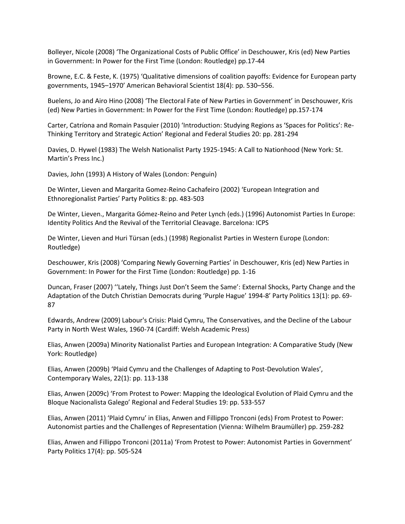Bolleyer, Nicole (2008) 'The Organizational Costs of Public Office' in Deschouwer, Kris (ed) New Parties in Government: In Power for the First Time (London: Routledge) pp.17-44

Browne, E.C. & Feste, K. (1975) 'Qualitative dimensions of coalition payoffs: Evidence for European party governments, 1945–1970' American Behavioral Scientist 18(4): pp. 530–556.

Buelens, Jo and Airo Hino (2008) 'The Electoral Fate of New Parties in Government' in Deschouwer, Kris (ed) New Parties in Government: In Power for the First Time (London: Routledge) pp.157-174

Carter, Catríona and Romain Pasquier (2010) 'Introduction: Studying Regions as 'Spaces for Politics': Re-Thinking Territory and Strategic Action' Regional and Federal Studies 20: pp. 281-294

Davies, D. Hywel (1983) The Welsh Nationalist Party 1925-1945: A Call to Nationhood (New York: St. Martin's Press Inc.)

Davies, John (1993) A History of Wales (London: Penguin)

De Winter, Lieven and Margarita Gomez-Reino Cachafeiro (2002) 'European Integration and Ethnoregionalist Parties' Party Politics 8: pp. 483-503

De Winter, Lieven., Margarita Gómez-Reino and Peter Lynch (eds.) (1996) Autonomist Parties In Europe: Identity Politics And the Revival of the Territorial Cleavage. Barcelona: ICPS

De Winter, Lieven and Huri Türsan (eds.) (1998) Regionalist Parties in Western Europe (London: Routledge)

Deschouwer, Kris (2008) 'Comparing Newly Governing Parties' in Deschouwer, Kris (ed) New Parties in Government: In Power for the First Time (London: Routledge) pp. 1-16

Duncan, Fraser (2007) ''Lately, Things Just Don't Seem the Same': External Shocks, Party Change and the Adaptation of the Dutch Christian Democrats during 'Purple Hague' 1994-8' Party Politics 13(1): pp. 69- 87

Edwards, Andrew (2009) Labour's Crisis: Plaid Cymru, The Conservatives, and the Decline of the Labour Party in North West Wales, 1960-74 (Cardiff: Welsh Academic Press)

Elias, Anwen (2009a) Minority Nationalist Parties and European Integration: A Comparative Study (New York: Routledge)

Elias, Anwen (2009b) 'Plaid Cymru and the Challenges of Adapting to Post-Devolution Wales', Contemporary Wales, 22(1): pp. 113-138

Elias, Anwen (2009c) 'From Protest to Power: Mapping the Ideological Evolution of Plaid Cymru and the Bloque Nacionalista Galego' Regional and Federal Studies 19: pp. 533-557

Elias, Anwen (2011) 'Plaid Cymru' in Elias, Anwen and Fillippo Tronconi (eds) From Protest to Power: Autonomist parties and the Challenges of Representation (Vienna: Wilhelm Braumüller) pp. 259-282

Elias, Anwen and Fillippo Tronconi (2011a) 'From Protest to Power: Autonomist Parties in Government' Party Politics 17(4): pp. 505-524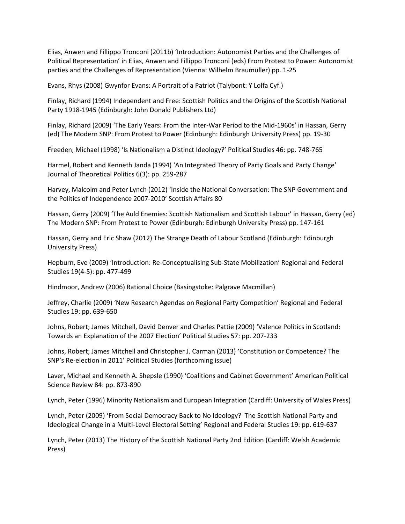Elias, Anwen and Fillippo Tronconi (2011b) 'Introduction: Autonomist Parties and the Challenges of Political Representation' in Elias, Anwen and Fillippo Tronconi (eds) From Protest to Power: Autonomist parties and the Challenges of Representation (Vienna: Wilhelm Braumüller) pp. 1-25

Evans, Rhys (2008) Gwynfor Evans: A Portrait of a Patriot (Talybont: Y Lolfa Cyf.)

Finlay, Richard (1994) Independent and Free: Scottish Politics and the Origins of the Scottish National Party 1918-1945 (Edinburgh: John Donald Publishers Ltd)

Finlay, Richard (2009) 'The Early Years: From the Inter-War Period to the Mid-1960s' in Hassan, Gerry (ed) The Modern SNP: From Protest to Power (Edinburgh: Edinburgh University Press) pp. 19-30

Freeden, Michael (1998) 'Is Nationalism a Distinct Ideology?' Political Studies 46: pp. 748-765

Harmel, Robert and Kenneth Janda (1994) 'An Integrated Theory of Party Goals and Party Change' Journal of Theoretical Politics 6(3): pp. 259-287

Harvey, Malcolm and Peter Lynch (2012) 'Inside the National Conversation: The SNP Government and the Politics of Independence 2007-2010' Scottish Affairs 80

Hassan, Gerry (2009) 'The Auld Enemies: Scottish Nationalism and Scottish Labour' in Hassan, Gerry (ed) The Modern SNP: From Protest to Power (Edinburgh: Edinburgh University Press) pp. 147-161

Hassan, Gerry and Eric Shaw (2012) The Strange Death of Labour Scotland (Edinburgh: Edinburgh University Press)

Hepburn, Eve (2009) 'Introduction: Re-Conceptualising Sub-State Mobilization' Regional and Federal Studies 19(4-5): pp. 477-499

Hindmoor, Andrew (2006) Rational Choice (Basingstoke: Palgrave Macmillan)

Jeffrey, Charlie (2009) 'New Research Agendas on Regional Party Competition' Regional and Federal Studies 19: pp. 639-650

Johns, Robert; James Mitchell, David Denver and Charles Pattie (2009) 'Valence Politics in Scotland: Towards an Explanation of the 2007 Election' Political Studies 57: pp. 207-233

Johns, Robert; James Mitchell and Christopher J. Carman (2013) 'Constitution or Competence? The SNP's Re-election in 2011' Political Studies (forthcoming issue)

Laver, Michael and Kenneth A. Shepsle (1990) 'Coalitions and Cabinet Government' American Political Science Review 84: pp. 873-890

Lynch, Peter (1996) Minority Nationalism and European Integration (Cardiff: University of Wales Press)

Lynch, Peter (2009) 'From Social Democracy Back to No Ideology? The Scottish National Party and Ideological Change in a Multi-Level Electoral Setting' Regional and Federal Studies 19: pp. 619-637

Lynch, Peter (2013) The History of the Scottish National Party 2nd Edition (Cardiff: Welsh Academic Press)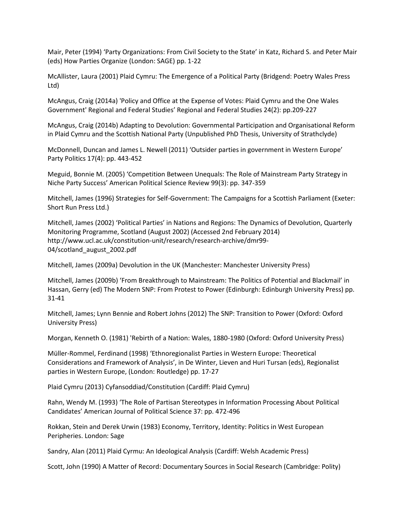Mair, Peter (1994) 'Party Organizations: From Civil Society to the State' in Katz, Richard S. and Peter Mair (eds) How Parties Organize (London: SAGE) pp. 1-22

McAllister, Laura (2001) Plaid Cymru: The Emergence of a Political Party (Bridgend: Poetry Wales Press Ltd)

McAngus, Craig (2014a) 'Policy and Office at the Expense of Votes: Plaid Cymru and the One Wales Government' Regional and Federal Studies' Regional and Federal Studies 24(2): pp.209-227

McAngus, Craig (2014b) Adapting to Devolution: Governmental Participation and Organisational Reform in Plaid Cymru and the Scottish National Party (Unpublished PhD Thesis, University of Strathclyde)

McDonnell, Duncan and James L. Newell (2011) 'Outsider parties in government in Western Europe' Party Politics 17(4): pp. 443-452

Meguid, Bonnie M. (2005) 'Competition Between Unequals: The Role of Mainstream Party Strategy in Niche Party Success' American Political Science Review 99(3): pp. 347-359

Mitchell, James (1996) Strategies for Self-Government: The Campaigns for a Scottish Parliament (Exeter: Short Run Press Ltd.)

Mitchell, James (2002) 'Political Parties' in Nations and Regions: The Dynamics of Devolution, Quarterly Monitoring Programme, Scotland (August 2002) (Accessed 2nd February 2014) http://www.ucl.ac.uk/constitution-unit/research/research-archive/dmr99- 04/scotland\_august\_2002.pdf

Mitchell, James (2009a) Devolution in the UK (Manchester: Manchester University Press)

Mitchell, James (2009b) 'From Breakthrough to Mainstream: The Politics of Potential and Blackmail' in Hassan, Gerry (ed) The Modern SNP: From Protest to Power (Edinburgh: Edinburgh University Press) pp. 31-41

Mitchell, James; Lynn Bennie and Robert Johns (2012) The SNP: Transition to Power (Oxford: Oxford University Press)

Morgan, Kenneth O. (1981) 'Rebirth of a Nation: Wales, 1880-1980 (Oxford: Oxford University Press)

Müller-Rommel, Ferdinand (1998) 'Ethnoregionalist Parties in Western Europe: Theoretical Considerations and Framework of Analysis', in De Winter, Lieven and Huri Tursan (eds), Regionalist parties in Western Europe, (London: Routledge) pp. 17-27

Plaid Cymru (2013) Cyfansoddiad/Constitution (Cardiff: Plaid Cymru)

Rahn, Wendy M. (1993) 'The Role of Partisan Stereotypes in Information Processing About Political Candidates' American Journal of Political Science 37: pp. 472-496

Rokkan, Stein and Derek Urwin (1983) Economy, Territory, Identity: Politics in West European Peripheries. London: Sage

Sandry, Alan (2011) Plaid Cyrmu: An Ideological Analysis (Cardiff: Welsh Academic Press)

Scott, John (1990) A Matter of Record: Documentary Sources in Social Research (Cambridge: Polity)